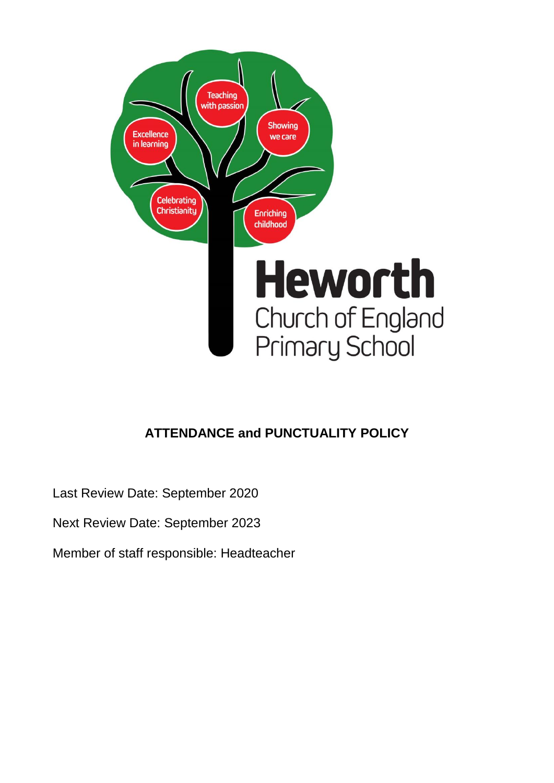

# **ATTENDANCE and PUNCTUALITY POLICY**

Last Review Date: September 2020

Next Review Date: September 2023

Member of staff responsible: Headteacher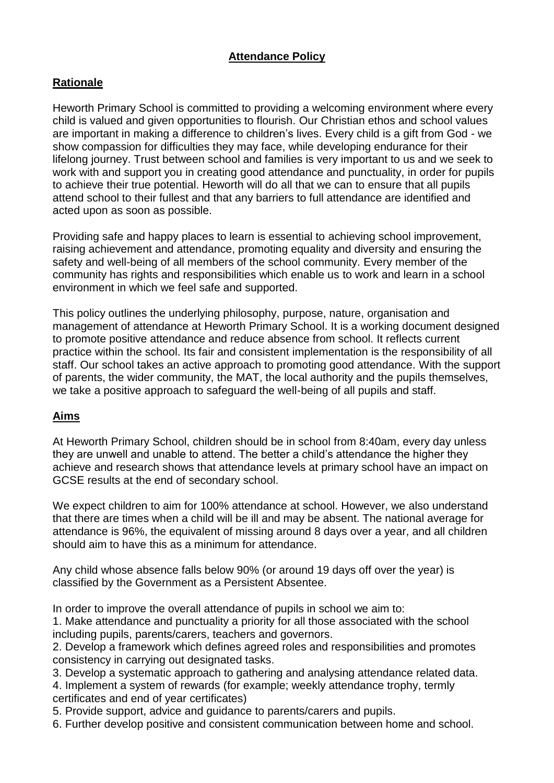# **Attendance Policy**

# **Rationale**

Heworth Primary School is committed to providing a welcoming environment where every child is valued and given opportunities to flourish. Our Christian ethos and school values are important in making a difference to children's lives. Every child is a gift from God - we show compassion for difficulties they may face, while developing endurance for their lifelong journey. Trust between school and families is very important to us and we seek to work with and support you in creating good attendance and punctuality, in order for pupils to achieve their true potential. Heworth will do all that we can to ensure that all pupils attend school to their fullest and that any barriers to full attendance are identified and acted upon as soon as possible.

Providing safe and happy places to learn is essential to achieving school improvement, raising achievement and attendance, promoting equality and diversity and ensuring the safety and well-being of all members of the school community. Every member of the community has rights and responsibilities which enable us to work and learn in a school environment in which we feel safe and supported.

This policy outlines the underlying philosophy, purpose, nature, organisation and management of attendance at Heworth Primary School. It is a working document designed to promote positive attendance and reduce absence from school. It reflects current practice within the school. Its fair and consistent implementation is the responsibility of all staff. Our school takes an active approach to promoting good attendance. With the support of parents, the wider community, the MAT, the local authority and the pupils themselves, we take a positive approach to safeguard the well-being of all pupils and staff.

# **Aims**

At Heworth Primary School, children should be in school from 8:40am, every day unless they are unwell and unable to attend. The better a child's attendance the higher they achieve and research shows that attendance levels at primary school have an impact on GCSE results at the end of secondary school.

We expect children to aim for 100% attendance at school. However, we also understand that there are times when a child will be ill and may be absent. The national average for attendance is 96%, the equivalent of missing around 8 days over a year, and all children should aim to have this as a minimum for attendance.

Any child whose absence falls below 90% (or around 19 days off over the year) is classified by the Government as a Persistent Absentee.

In order to improve the overall attendance of pupils in school we aim to:

1. Make attendance and punctuality a priority for all those associated with the school including pupils, parents/carers, teachers and governors.

2. Develop a framework which defines agreed roles and responsibilities and promotes consistency in carrying out designated tasks.

3. Develop a systematic approach to gathering and analysing attendance related data.

4. Implement a system of rewards (for example; weekly attendance trophy, termly certificates and end of year certificates)

5. Provide support, advice and guidance to parents/carers and pupils.

6. Further develop positive and consistent communication between home and school.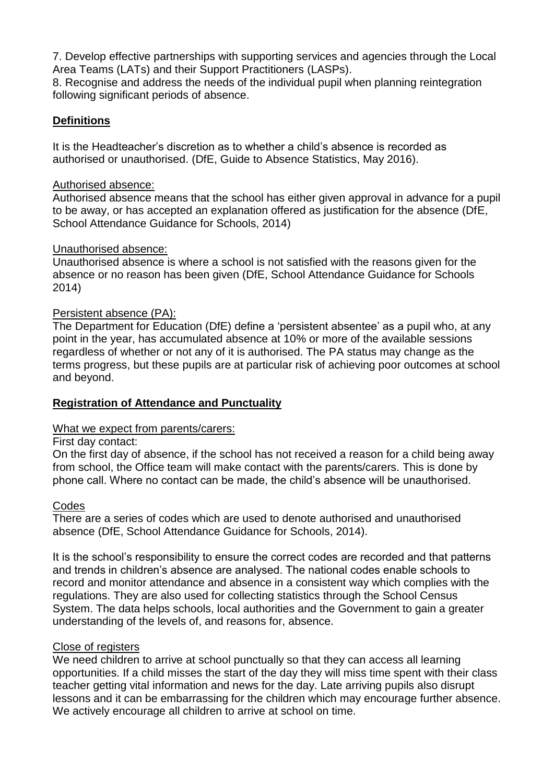7. Develop effective partnerships with supporting services and agencies through the Local Area Teams (LATs) and their Support Practitioners (LASPs).

8. Recognise and address the needs of the individual pupil when planning reintegration following significant periods of absence.

# **Definitions**

It is the Headteacher's discretion as to whether a child's absence is recorded as authorised or unauthorised. (DfE, Guide to Absence Statistics, May 2016).

## Authorised absence:

Authorised absence means that the school has either given approval in advance for a pupil to be away, or has accepted an explanation offered as justification for the absence (DfE, School Attendance Guidance for Schools, 2014)

## Unauthorised absence:

Unauthorised absence is where a school is not satisfied with the reasons given for the absence or no reason has been given (DfE, School Attendance Guidance for Schools 2014)

## Persistent absence (PA):

The Department for Education (DfE) define a 'persistent absentee' as a pupil who, at any point in the year, has accumulated absence at 10% or more of the available sessions regardless of whether or not any of it is authorised. The PA status may change as the terms progress, but these pupils are at particular risk of achieving poor outcomes at school and beyond.

# **Registration of Attendance and Punctuality**

#### What we expect from parents/carers:

#### First day contact:

On the first day of absence, if the school has not received a reason for a child being away from school, the Office team will make contact with the parents/carers. This is done by phone call. Where no contact can be made, the child's absence will be unauthorised.

#### Codes

There are a series of codes which are used to denote authorised and unauthorised absence (DfE, School Attendance Guidance for Schools, 2014).

It is the school's responsibility to ensure the correct codes are recorded and that patterns and trends in children's absence are analysed. The national codes enable schools to record and monitor attendance and absence in a consistent way which complies with the regulations. They are also used for collecting statistics through the School Census System. The data helps schools, local authorities and the Government to gain a greater understanding of the levels of, and reasons for, absence.

#### Close of registers

We need children to arrive at school punctually so that they can access all learning opportunities. If a child misses the start of the day they will miss time spent with their class teacher getting vital information and news for the day. Late arriving pupils also disrupt lessons and it can be embarrassing for the children which may encourage further absence. We actively encourage all children to arrive at school on time.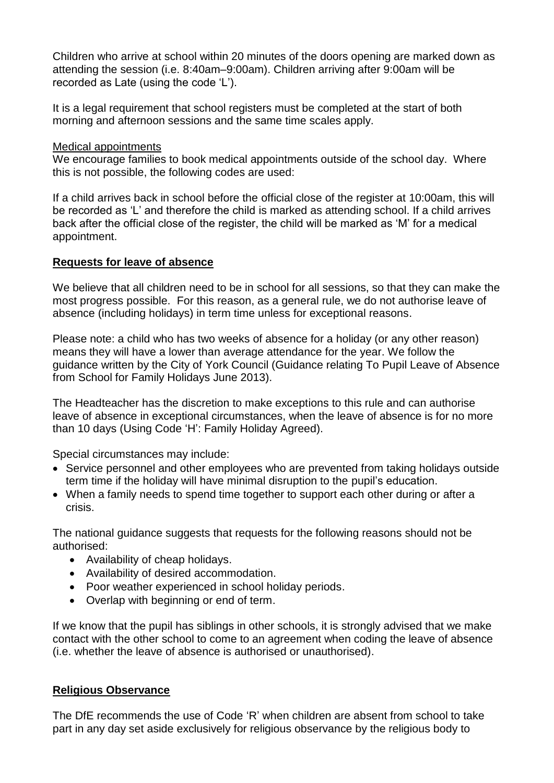Children who arrive at school within 20 minutes of the doors opening are marked down as attending the session (i.e. 8:40am–9:00am). Children arriving after 9:00am will be recorded as Late (using the code 'L').

It is a legal requirement that school registers must be completed at the start of both morning and afternoon sessions and the same time scales apply.

## Medical appointments

We encourage families to book medical appointments outside of the school day. Where this is not possible, the following codes are used:

If a child arrives back in school before the official close of the register at 10:00am, this will be recorded as 'L' and therefore the child is marked as attending school. If a child arrives back after the official close of the register, the child will be marked as 'M' for a medical appointment.

## **Requests for leave of absence**

We believe that all children need to be in school for all sessions, so that they can make the most progress possible. For this reason, as a general rule, we do not authorise leave of absence (including holidays) in term time unless for exceptional reasons.

Please note: a child who has two weeks of absence for a holiday (or any other reason) means they will have a lower than average attendance for the year. We follow the guidance written by the City of York Council (Guidance relating To Pupil Leave of Absence from School for Family Holidays June 2013).

The Headteacher has the discretion to make exceptions to this rule and can authorise leave of absence in exceptional circumstances, when the leave of absence is for no more than 10 days (Using Code 'H': Family Holiday Agreed).

Special circumstances may include:

- Service personnel and other employees who are prevented from taking holidays outside term time if the holiday will have minimal disruption to the pupil's education.
- When a family needs to spend time together to support each other during or after a crisis.

The national guidance suggests that requests for the following reasons should not be authorised:

- Availability of cheap holidays.
- Availability of desired accommodation.
- Poor weather experienced in school holiday periods.
- Overlap with beginning or end of term.

If we know that the pupil has siblings in other schools, it is strongly advised that we make contact with the other school to come to an agreement when coding the leave of absence (i.e. whether the leave of absence is authorised or unauthorised).

#### **Religious Observance**

The DfE recommends the use of Code 'R' when children are absent from school to take part in any day set aside exclusively for religious observance by the religious body to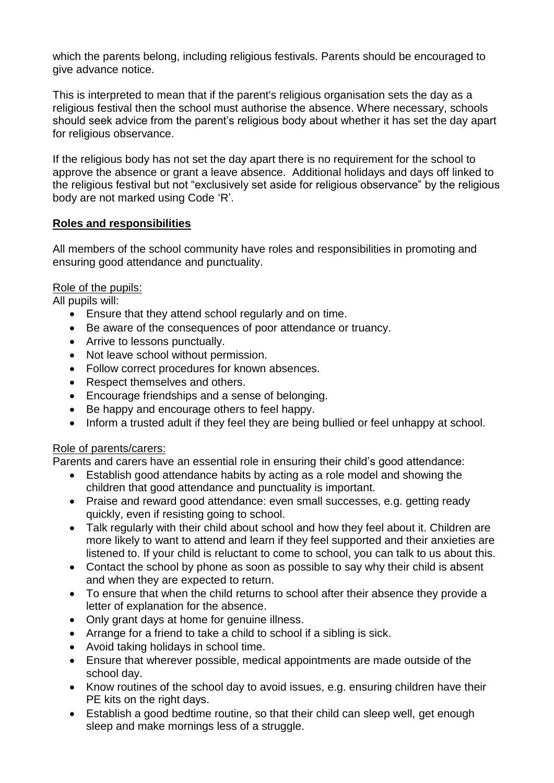which the parents belong, including religious festivals. Parents should be encouraged to give advance notice.

This is interpreted to mean that if the parent's religious organisation sets the day as a religious festival then the school must authorise the absence. Where necessary, schools should seek advice from the parent's religious body about whether it has set the day apart for religious observance.

If the religious body has not set the day apart there is no requirement for the school to approve the absence or grant a leave absence. Additional holidays and days off linked to the religious festival but not "exclusively set aside for religious observance" by the religious body are not marked using Code 'R'.

## **Roles and responsibilities**

All members of the school community have roles and responsibilities in promoting and ensuring good attendance and punctuality.

## Role of the pupils:

All pupils will:

- Ensure that they attend school regularly and on time.
- Be aware of the consequences of poor attendance or truancy.
- Arrive to lessons punctually.
- Not leave school without permission.
- Follow correct procedures for known absences.
- Respect themselves and others.
- Encourage friendships and a sense of belonging.
- Be happy and encourage others to feel happy.
- Inform a trusted adult if they feel they are being bullied or feel unhappy at school.

#### Role of parents/carers:

Parents and carers have an essential role in ensuring their child's good attendance:

- Establish good attendance habits by acting as a role model and showing the children that good attendance and punctuality is important.
- Praise and reward good attendance: even small successes, e.g. getting ready quickly, even if resisting going to school.
- Talk regularly with their child about school and how they feel about it. Children are more likely to want to attend and learn if they feel supported and their anxieties are listened to. If your child is reluctant to come to school, you can talk to us about this.
- Contact the school by phone as soon as possible to say why their child is absent and when they are expected to return.
- To ensure that when the child returns to school after their absence they provide a letter of explanation for the absence.
- Only grant days at home for genuine illness.
- Arrange for a friend to take a child to school if a sibling is sick.
- Avoid taking holidays in school time.
- Ensure that wherever possible, medical appointments are made outside of the school day.
- Know routines of the school day to avoid issues, e.g. ensuring children have their PE kits on the right days.
- Establish a good bedtime routine, so that their child can sleep well, get enough sleep and make mornings less of a struggle.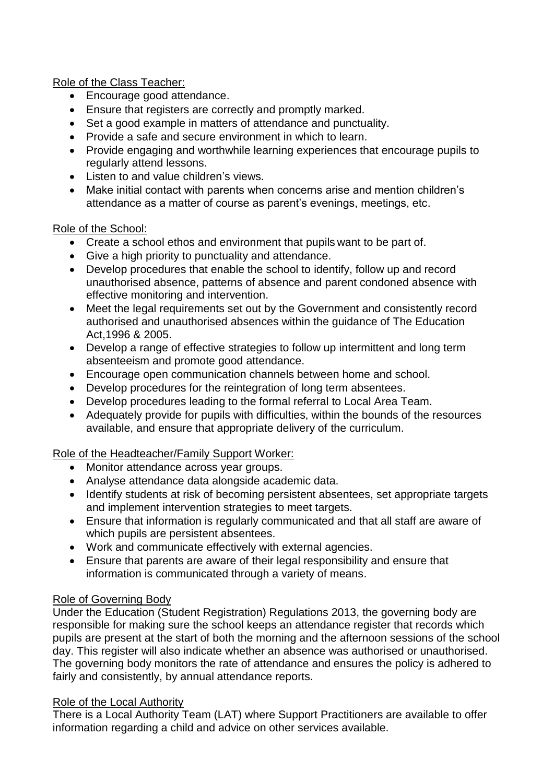Role of the Class Teacher:

- Encourage good attendance.
- Ensure that registers are correctly and promptly marked.
- Set a good example in matters of attendance and punctuality.
- Provide a safe and secure environment in which to learn.
- Provide engaging and worthwhile learning experiences that encourage pupils to regularly attend lessons.
- Listen to and value children's views.
- Make initial contact with parents when concerns arise and mention children's attendance as a matter of course as parent's evenings, meetings, etc.

## Role of the School:

- Create a school ethos and environment that pupils want to be part of.
- Give a high priority to punctuality and attendance.
- Develop procedures that enable the school to identify, follow up and record unauthorised absence, patterns of absence and parent condoned absence with effective monitoring and intervention.
- Meet the legal requirements set out by the Government and consistently record authorised and unauthorised absences within the guidance of The Education Act,1996 & 2005.
- Develop a range of effective strategies to follow up intermittent and long term absenteeism and promote good attendance.
- Encourage open communication channels between home and school.
- Develop procedures for the reintegration of long term absentees.
- Develop procedures leading to the formal referral to Local Area Team.
- Adequately provide for pupils with difficulties, within the bounds of the resources available, and ensure that appropriate delivery of the curriculum.

# Role of the Headteacher/Family Support Worker:

- Monitor attendance across year groups.
- Analyse attendance data alongside academic data.
- Identify students at risk of becoming persistent absentees, set appropriate targets and implement intervention strategies to meet targets.
- Ensure that information is regularly communicated and that all staff are aware of which pupils are persistent absentees.
- Work and communicate effectively with external agencies.
- Ensure that parents are aware of their legal responsibility and ensure that information is communicated through a variety of means.

# Role of Governing Body

Under the Education (Student Registration) Regulations 2013, the governing body are responsible for making sure the school keeps an attendance register that records which pupils are present at the start of both the morning and the afternoon sessions of the school day. This register will also indicate whether an absence was authorised or unauthorised. The governing body monitors the rate of attendance and ensures the policy is adhered to fairly and consistently, by annual attendance reports.

# Role of the Local Authority

There is a Local Authority Team (LAT) where Support Practitioners are available to offer information regarding a child and advice on other services available.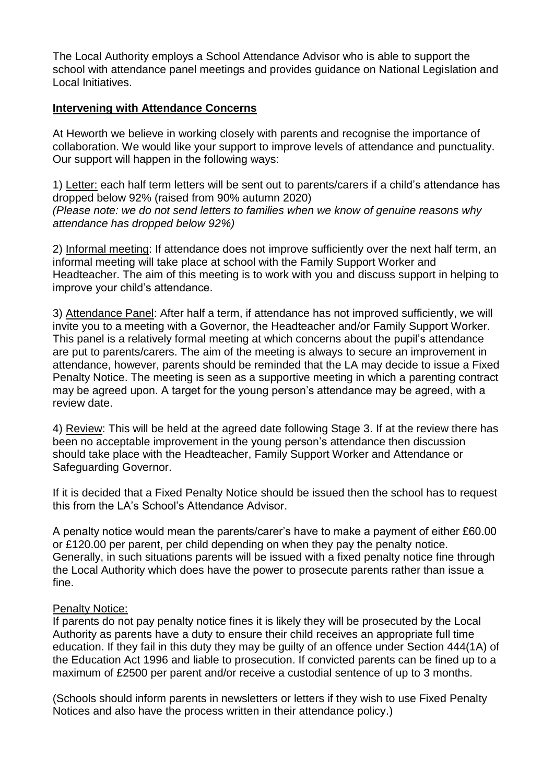The Local Authority employs a School Attendance Advisor who is able to support the school with attendance panel meetings and provides guidance on National Legislation and Local Initiatives.

#### **Intervening with Attendance Concerns**

At Heworth we believe in working closely with parents and recognise the importance of collaboration. We would like your support to improve levels of attendance and punctuality. Our support will happen in the following ways:

1) Letter: each half term letters will be sent out to parents/carers if a child's attendance has dropped below 92% (raised from 90% autumn 2020) *(Please note: we do not send letters to families when we know of genuine reasons why attendance has dropped below 92%)*

2) Informal meeting: If attendance does not improve sufficiently over the next half term, an informal meeting will take place at school with the Family Support Worker and Headteacher. The aim of this meeting is to work with you and discuss support in helping to improve your child's attendance.

3) Attendance Panel: After half a term, if attendance has not improved sufficiently, we will invite you to a meeting with a Governor, the Headteacher and/or Family Support Worker. This panel is a relatively formal meeting at which concerns about the pupil's attendance are put to parents/carers. The aim of the meeting is always to secure an improvement in attendance, however, parents should be reminded that the LA may decide to issue a Fixed Penalty Notice. The meeting is seen as a supportive meeting in which a parenting contract may be agreed upon. A target for the young person's attendance may be agreed, with a review date.

4) Review: This will be held at the agreed date following Stage 3. If at the review there has been no acceptable improvement in the young person's attendance then discussion should take place with the Headteacher, Family Support Worker and Attendance or Safeguarding Governor.

If it is decided that a Fixed Penalty Notice should be issued then the school has to request this from the LA's School's Attendance Advisor.

A penalty notice would mean the parents/carer's have to make a payment of either £60.00 or £120.00 per parent, per child depending on when they pay the penalty notice. Generally, in such situations parents will be issued with a fixed penalty notice fine through the Local Authority which does have the power to prosecute parents rather than issue a fine.

#### Penalty Notice:

If parents do not pay penalty notice fines it is likely they will be prosecuted by the Local Authority as parents have a duty to ensure their child receives an appropriate full time education. If they fail in this duty they may be guilty of an offence under Section 444(1A) of the Education Act 1996 and liable to prosecution. If convicted parents can be fined up to a maximum of £2500 per parent and/or receive a custodial sentence of up to 3 months.

(Schools should inform parents in newsletters or letters if they wish to use Fixed Penalty Notices and also have the process written in their attendance policy.)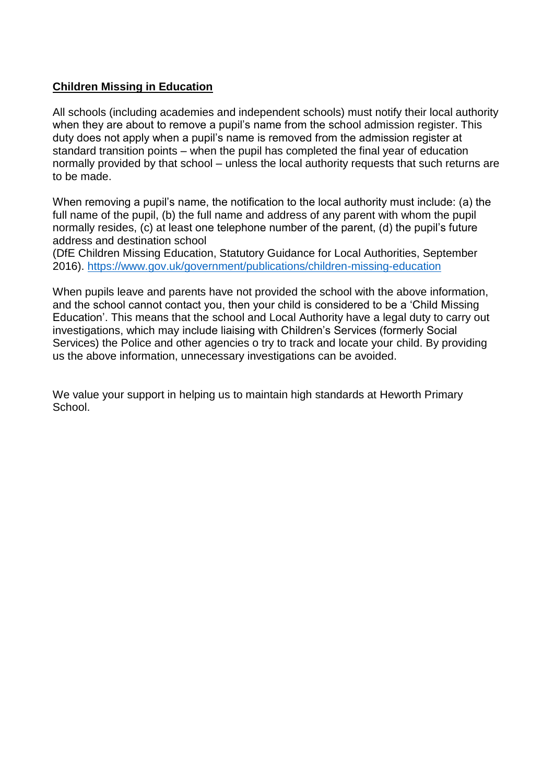# **Children Missing in Education**

All schools (including academies and independent schools) must notify their local authority when they are about to remove a pupil's name from the school admission register. This duty does not apply when a pupil's name is removed from the admission register at standard transition points – when the pupil has completed the final year of education normally provided by that school – unless the local authority requests that such returns are to be made.

When removing a pupil's name, the notification to the local authority must include: (a) the full name of the pupil, (b) the full name and address of any parent with whom the pupil normally resides, (c) at least one telephone number of the parent, (d) the pupil's future address and destination school

(DfE Children Missing Education, Statutory Guidance for Local Authorities, September 2016).<https://www.gov.uk/government/publications/children-missing-education>

When pupils leave and parents have not provided the school with the above information, and the school cannot contact you, then your child is considered to be a 'Child Missing Education'. This means that the school and Local Authority have a legal duty to carry out investigations, which may include liaising with Children's Services (formerly Social Services) the Police and other agencies o try to track and locate your child. By providing us the above information, unnecessary investigations can be avoided.

We value your support in helping us to maintain high standards at Heworth Primary School.